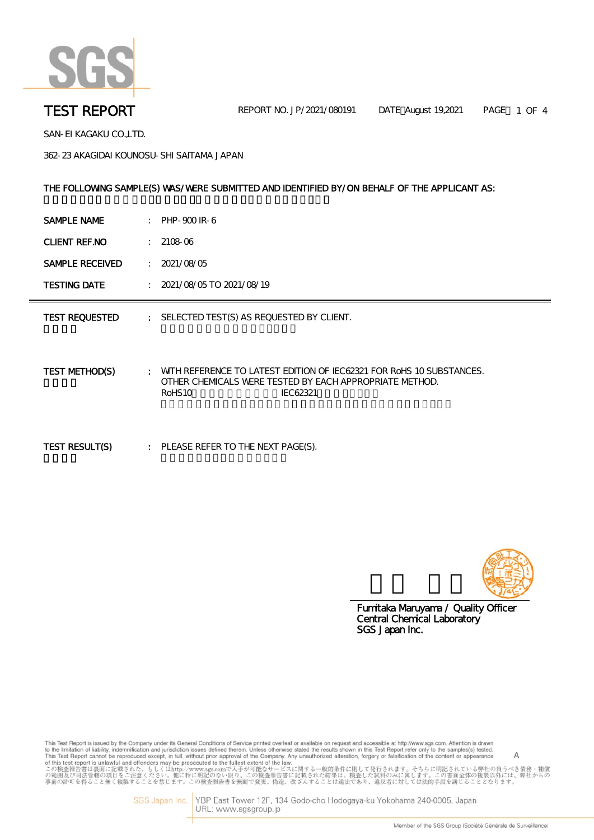

SAN-EI KAGAKU CO.,LTD.

362-23 AKAGIDAI KOUNOSU-SHI SAITAMA JAPAN

#### THE FOLLOWING SAMPLE(S) WAS/WERE SUBMITTED AND IDENTIFIED BY/ON BEHALF OF THE APPLICANT AS:

| SAMPLE NAME<br>PHP-900 IR-6 |  |
|-----------------------------|--|
|-----------------------------|--|

CLIENT REF.NO : 2108-06

SAMPLE RECEIVED : 2021/08/05

TESTING DATE : 2021/08/05 TO 2021/08/19

TEST REQUESTED : SELECTED TEST(S) AS REQUESTED BY CLIENT.

TEST METHOD(S) : WITH REFERENCE TO LATEST EDITION OF IEC62321 FOR RoHS 10 SUBSTANCES. OTHER CHEMICALS WERE TESTED BY EACH APPROPRIATE METHOD. RoHS10 IEC62321

TEST RESULT(S) : PLEASE REFER TO THE NEXT PAGE(S).



SGS Japan Inc. Central Chemical Laboratory Fumitaka Maruyama / Quality Officer

This Test Report is issued by the Company under its General Conditions of Service printed overleaf or available on request and accessible at http://www.sgs.com. Attention is drawn insies resport is issued by the Company under its deneral Conduors of service primed overlear or available that in this Test Report refer only to the samples(s) tested.<br>This Test Report simulative, indemnification and ju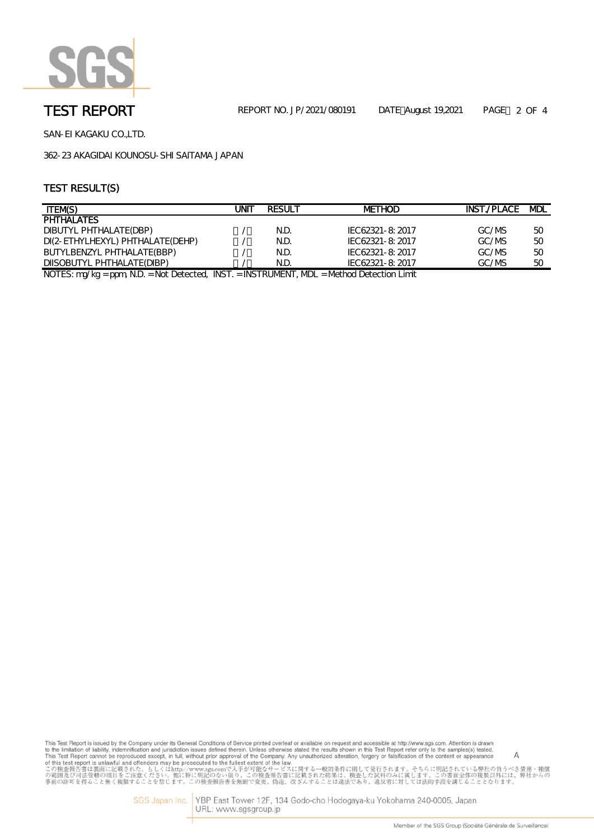

SAN-EI KAGAKU CO.,LTD.

362-23 AKAGIDAI KOUNOSU-SHI SAITAMA JAPAN

# TEST RESULT(S)

| <b>ITEM(S)</b>                                   | JNIT | <b>RESULT</b>       | <b>METHOD</b>           | INST./PLACE MDL |    |
|--------------------------------------------------|------|---------------------|-------------------------|-----------------|----|
| <b>PHTHALATES</b>                                |      |                     |                         |                 |    |
| DIBUTYL PHTHALATE(DBP)                           |      | N.D.                | IEC62321-8: 2017        | GC/MS           | 50 |
| DI(2-ETHYLHEXYL) PHTHALATE(DEHP)                 |      | N.D.                | IEC62321-8:2017         | GC/MS           | 50 |
| BUTYLBENZYL PHTHALATE(BBP)                       |      | N.D.                | IEC62321-8:2017         | GC/MS           | 50 |
| DIISOBUTYL PHTHALATE(DIBP)                       |      | N.D.                | IEC62321-8: 2017        | GC/MS           | 50 |
| $MOTFC.$ and $U_{C}$ and $M$<br>INICT<br>$N = F$ |      | INICTOUR FRIT A FOL | $M +$ $A +$ $A +$ $A +$ |                 |    |

NOTES: mg/kg = ppm, N.D. = Not Detected, INST. = INSTRUMENT, MDL = Method Detection Limit

This Test Report is issued by the Company under its General Conditions of Service printed overleaf or available on request and accessible at http://www.sgs.com. Attention is drawn<br>to the limitation of liability, indemnif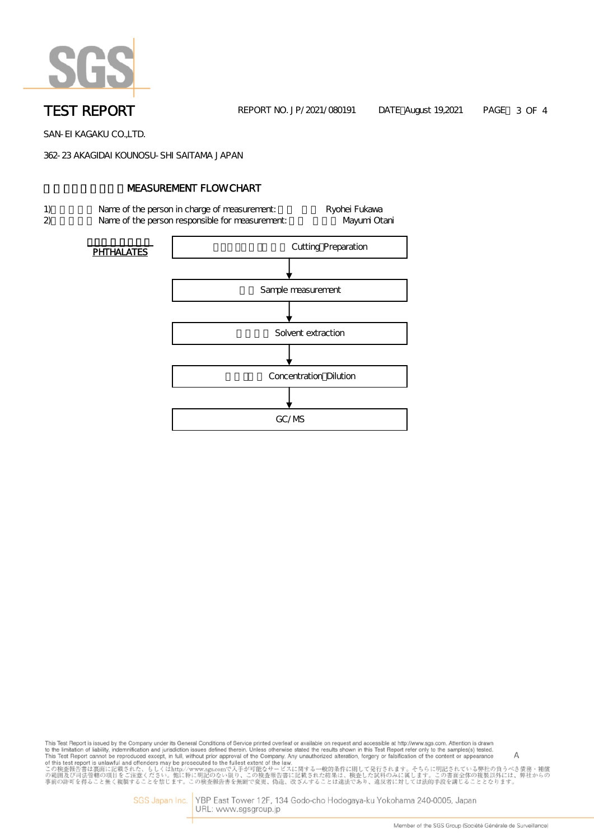

TEST REPORT THE REPORT NO. JP/2021/080191 DATE August 19,2021 PAGE 3 OF 4

SAN-EI KAGAKU CO.,LTD.

362-23 AKAGIDAI KOUNOSU-SHI SAITAMA JAPAN

### **NEASUREMENT FLOW CHART**

- 1) Name of the person in charge of measurement: Ryohei Fukawa
- 2) Name of the person responsible for measurement: Nayumi Otani



This Test Report is issued by the Company under its General Conditions of Service printed overleaf or available on request and accessible at http://www.sgs.com. Attention is drawn This Test Report is issued by the Company under its General Conditions of Service printed overleat or available on request and accessible at http://www.sgs.com. Attentions is districted in the first of the simple of the